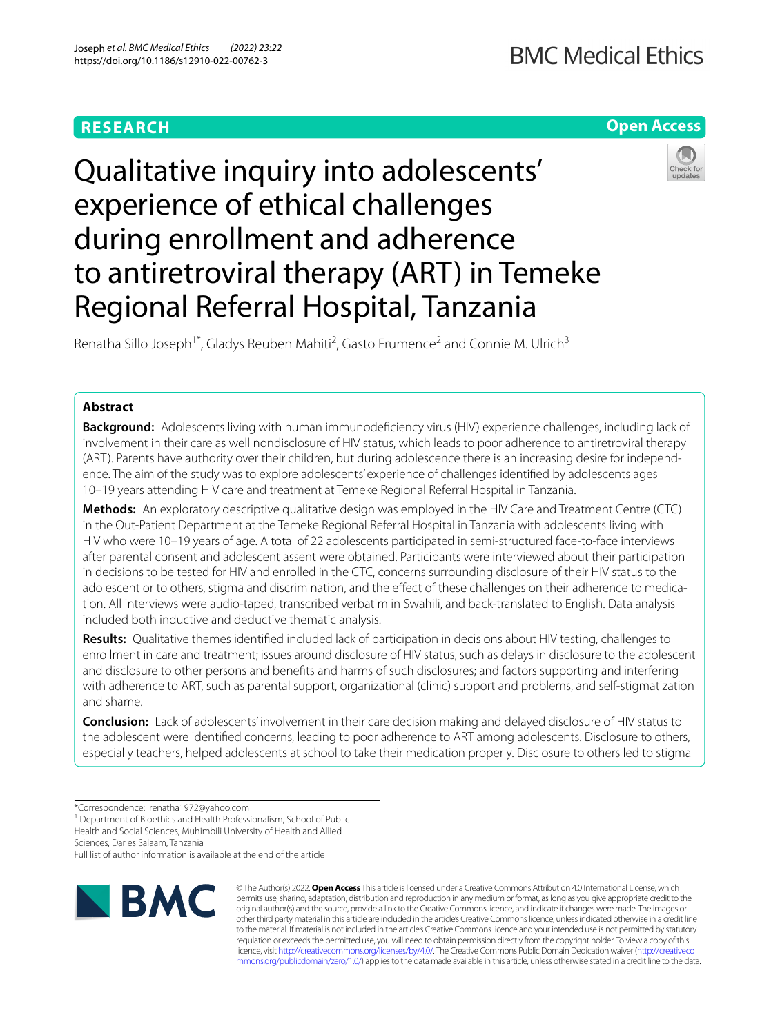# **RESEARCH**

# **Open Access**



Qualitative inquiry into adolescents' experience of ethical challenges during enrollment and adherence to antiretroviral therapy (ART) in Temeke Regional Referral Hospital, Tanzania

Renatha Sillo Joseph<sup>1\*</sup>, Gladys Reuben Mahiti<sup>2</sup>, Gasto Frumence<sup>2</sup> and Connie M. Ulrich<sup>3</sup>

# **Abstract**

**Background:** Adolescents living with human immunodefciency virus (HIV) experience challenges, including lack of involvement in their care as well nondisclosure of HIV status, which leads to poor adherence to antiretroviral therapy (ART). Parents have authority over their children, but during adolescence there is an increasing desire for independence. The aim of the study was to explore adolescents' experience of challenges identifed by adolescents ages 10–19 years attending HIV care and treatment at Temeke Regional Referral Hospital in Tanzania.

**Methods:** An exploratory descriptive qualitative design was employed in the HIV Care and Treatment Centre (CTC) in the Out-Patient Department at the Temeke Regional Referral Hospital in Tanzania with adolescents living with HIV who were 10–19 years of age. A total of 22 adolescents participated in semi-structured face-to-face interviews after parental consent and adolescent assent were obtained. Participants were interviewed about their participation in decisions to be tested for HIV and enrolled in the CTC, concerns surrounding disclosure of their HIV status to the adolescent or to others, stigma and discrimination, and the efect of these challenges on their adherence to medication. All interviews were audio-taped, transcribed verbatim in Swahili, and back-translated to English. Data analysis included both inductive and deductive thematic analysis.

**Results:** Qualitative themes identifed included lack of participation in decisions about HIV testing, challenges to enrollment in care and treatment; issues around disclosure of HIV status, such as delays in disclosure to the adolescent and disclosure to other persons and benefts and harms of such disclosures; and factors supporting and interfering with adherence to ART, such as parental support, organizational (clinic) support and problems, and self-stigmatization and shame.

**Conclusion:** Lack of adolescents' involvement in their care decision making and delayed disclosure of HIV status to the adolescent were identifed concerns, leading to poor adherence to ART among adolescents. Disclosure to others, especially teachers, helped adolescents at school to take their medication properly. Disclosure to others led to stigma

<sup>1</sup> Department of Bioethics and Health Professionalism, School of Public Health and Social Sciences, Muhimbili University of Health and Allied

Sciences, Dar es Salaam, Tanzania

Full list of author information is available at the end of the article



© The Author(s) 2022. **Open Access** This article is licensed under a Creative Commons Attribution 4.0 International License, which permits use, sharing, adaptation, distribution and reproduction in any medium or format, as long as you give appropriate credit to the original author(s) and the source, provide a link to the Creative Commons licence, and indicate if changes were made. The images or other third party material in this article are included in the article's Creative Commons licence, unless indicated otherwise in a credit line to the material. If material is not included in the article's Creative Commons licence and your intended use is not permitted by statutory regulation or exceeds the permitted use, you will need to obtain permission directly from the copyright holder. To view a copy of this licence, visit [http://creativecommons.org/licenses/by/4.0/.](http://creativecommons.org/licenses/by/4.0/) The Creative Commons Public Domain Dedication waiver ([http://creativeco](http://creativecommons.org/publicdomain/zero/1.0/) [mmons.org/publicdomain/zero/1.0/](http://creativecommons.org/publicdomain/zero/1.0/)) applies to the data made available in this article, unless otherwise stated in a credit line to the data.

<sup>\*</sup>Correspondence: renatha1972@yahoo.com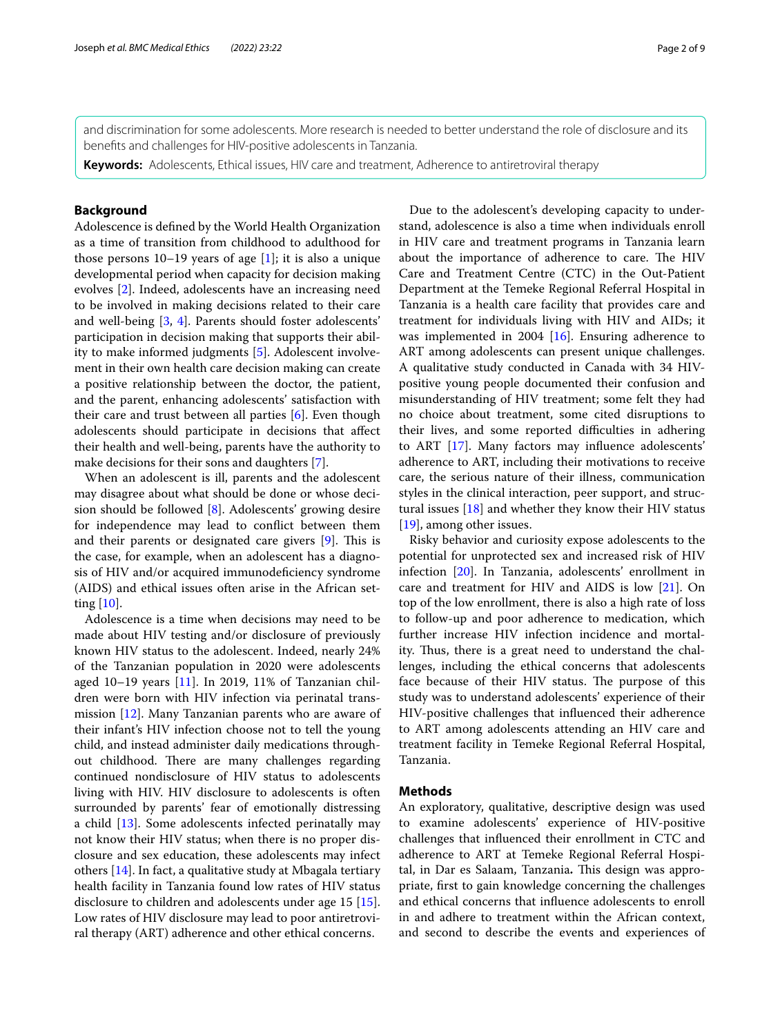and discrimination for some adolescents. More research is needed to better understand the role of disclosure and its benefts and challenges for HIV-positive adolescents in Tanzania.

**Keywords:** Adolescents, Ethical issues, HIV care and treatment, Adherence to antiretroviral therapy

# **Background**

Adolescence is defned by the World Health Organization as a time of transition from childhood to adulthood for those persons  $10-19$  years of age [\[1](#page-8-0)]; it is also a unique developmental period when capacity for decision making evolves [[2\]](#page-8-1). Indeed, adolescents have an increasing need to be involved in making decisions related to their care and well-being [[3,](#page-8-2) [4](#page-8-3)]. Parents should foster adolescents' participation in decision making that supports their ability to make informed judgments [\[5\]](#page-8-4). Adolescent involvement in their own health care decision making can create a positive relationship between the doctor, the patient, and the parent, enhancing adolescents' satisfaction with their care and trust between all parties [[6\]](#page-8-5). Even though adolescents should participate in decisions that afect their health and well-being, parents have the authority to make decisions for their sons and daughters [[7\]](#page-8-6).

When an adolescent is ill, parents and the adolescent may disagree about what should be done or whose decision should be followed [[8](#page-8-7)]. Adolescents' growing desire for independence may lead to confict between them and their parents or designated care givers  $[9]$ . This is the case, for example, when an adolescent has a diagnosis of HIV and/or acquired immunodefciency syndrome (AIDS) and ethical issues often arise in the African setting [\[10](#page-8-9)].

Adolescence is a time when decisions may need to be made about HIV testing and/or disclosure of previously known HIV status to the adolescent. Indeed, nearly 24% of the Tanzanian population in 2020 were adolescents aged 10–19 years [[11](#page-8-10)]. In 2019, 11% of Tanzanian children were born with HIV infection via perinatal transmission [[12\]](#page-8-11). Many Tanzanian parents who are aware of their infant's HIV infection choose not to tell the young child, and instead administer daily medications throughout childhood. There are many challenges regarding continued nondisclosure of HIV status to adolescents living with HIV. HIV disclosure to adolescents is often surrounded by parents' fear of emotionally distressing a child [\[13](#page-8-12)]. Some adolescents infected perinatally may not know their HIV status; when there is no proper disclosure and sex education, these adolescents may infect others [[14\]](#page-8-13). In fact, a qualitative study at Mbagala tertiary health facility in Tanzania found low rates of HIV status disclosure to children and adolescents under age 15 [\[15](#page-8-14)]. Low rates of HIV disclosure may lead to poor antiretroviral therapy (ART) adherence and other ethical concerns.

Due to the adolescent's developing capacity to understand, adolescence is also a time when individuals enroll in HIV care and treatment programs in Tanzania learn about the importance of adherence to care. The HIV Care and Treatment Centre (CTC) in the Out-Patient Department at the Temeke Regional Referral Hospital in Tanzania is a health care facility that provides care and treatment for individuals living with HIV and AIDs; it was implemented in 2004 [[16\]](#page-8-15). Ensuring adherence to ART among adolescents can present unique challenges. A qualitative study conducted in Canada with 34 HIVpositive young people documented their confusion and misunderstanding of HIV treatment; some felt they had no choice about treatment, some cited disruptions to their lives, and some reported difficulties in adhering to ART [[17\]](#page-8-16). Many factors may infuence adolescents' adherence to ART, including their motivations to receive care, the serious nature of their illness, communication styles in the clinical interaction, peer support, and structural issues  $[18]$  $[18]$  $[18]$  and whether they know their HIV status [[19\]](#page-8-18), among other issues.

Risky behavior and curiosity expose adolescents to the potential for unprotected sex and increased risk of HIV infection [\[20\]](#page-8-19). In Tanzania, adolescents' enrollment in care and treatment for HIV and AIDS is low [\[21\]](#page-8-20). On top of the low enrollment, there is also a high rate of loss to follow-up and poor adherence to medication, which further increase HIV infection incidence and mortality. Thus, there is a great need to understand the challenges, including the ethical concerns that adolescents face because of their HIV status. The purpose of this study was to understand adolescents' experience of their HIV-positive challenges that infuenced their adherence to ART among adolescents attending an HIV care and treatment facility in Temeke Regional Referral Hospital, Tanzania.

## **Methods**

An exploratory, qualitative, descriptive design was used to examine adolescents' experience of HIV-positive challenges that infuenced their enrollment in CTC and adherence to ART at Temeke Regional Referral Hospital, in Dar es Salaam, Tanzania. This design was appropriate, frst to gain knowledge concerning the challenges and ethical concerns that infuence adolescents to enroll in and adhere to treatment within the African context, and second to describe the events and experiences of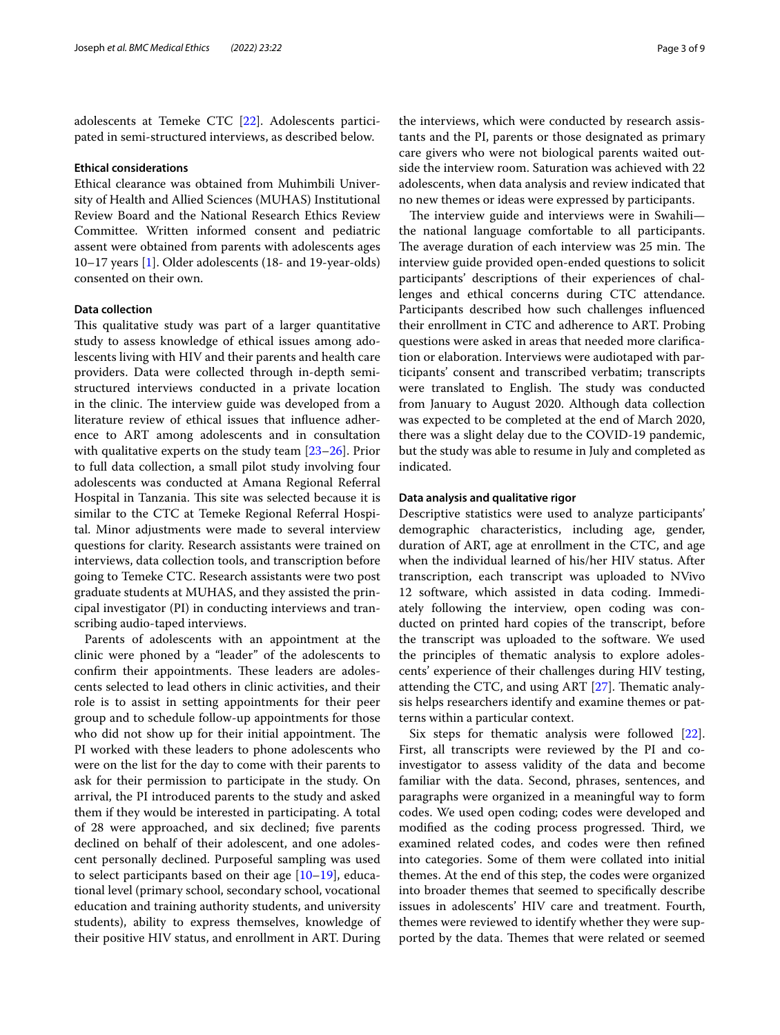adolescents at Temeke CTC [[22\]](#page-8-21). Adolescents participated in semi-structured interviews, as described below.

### **Ethical considerations**

Ethical clearance was obtained from Muhimbili University of Health and Allied Sciences (MUHAS) Institutional Review Board and the National Research Ethics Review Committee. Written informed consent and pediatric assent were obtained from parents with adolescents ages 10–17 years [\[1](#page-8-0)]. Older adolescents (18- and 19-year-olds) consented on their own.

# **Data collection**

This qualitative study was part of a larger quantitative study to assess knowledge of ethical issues among adolescents living with HIV and their parents and health care providers. Data were collected through in-depth semistructured interviews conducted in a private location in the clinic. The interview guide was developed from a literature review of ethical issues that infuence adherence to ART among adolescents and in consultation with qualitative experts on the study team [[23–](#page-8-22)[26\]](#page-8-23). Prior to full data collection, a small pilot study involving four adolescents was conducted at Amana Regional Referral Hospital in Tanzania. This site was selected because it is similar to the CTC at Temeke Regional Referral Hospital. Minor adjustments were made to several interview questions for clarity. Research assistants were trained on interviews, data collection tools, and transcription before going to Temeke CTC. Research assistants were two post graduate students at MUHAS, and they assisted the principal investigator (PI) in conducting interviews and transcribing audio-taped interviews.

Parents of adolescents with an appointment at the clinic were phoned by a "leader" of the adolescents to confirm their appointments. These leaders are adolescents selected to lead others in clinic activities, and their role is to assist in setting appointments for their peer group and to schedule follow-up appointments for those who did not show up for their initial appointment. The PI worked with these leaders to phone adolescents who were on the list for the day to come with their parents to ask for their permission to participate in the study. On arrival, the PI introduced parents to the study and asked them if they would be interested in participating. A total of 28 were approached, and six declined; fve parents declined on behalf of their adolescent, and one adolescent personally declined. Purposeful sampling was used to select participants based on their age  $[10-19]$  $[10-19]$  $[10-19]$ , educational level (primary school, secondary school, vocational education and training authority students, and university students), ability to express themselves, knowledge of their positive HIV status, and enrollment in ART. During

the interviews, which were conducted by research assistants and the PI, parents or those designated as primary care givers who were not biological parents waited outside the interview room. Saturation was achieved with 22 adolescents, when data analysis and review indicated that no new themes or ideas were expressed by participants.

The interview guide and interviews were in Swahili the national language comfortable to all participants. The average duration of each interview was 25 min. The interview guide provided open-ended questions to solicit participants' descriptions of their experiences of challenges and ethical concerns during CTC attendance. Participants described how such challenges infuenced their enrollment in CTC and adherence to ART. Probing questions were asked in areas that needed more clarifcation or elaboration. Interviews were audiotaped with participants' consent and transcribed verbatim; transcripts were translated to English. The study was conducted from January to August 2020. Although data collection was expected to be completed at the end of March 2020, there was a slight delay due to the COVID-19 pandemic, but the study was able to resume in July and completed as indicated.

## **Data analysis and qualitative rigor**

Descriptive statistics were used to analyze participants' demographic characteristics, including age, gender, duration of ART, age at enrollment in the CTC, and age when the individual learned of his/her HIV status. After transcription, each transcript was uploaded to NVivo 12 software, which assisted in data coding. Immediately following the interview, open coding was conducted on printed hard copies of the transcript, before the transcript was uploaded to the software. We used the principles of thematic analysis to explore adolescents' experience of their challenges during HIV testing, attending the CTC, and using ART  $[27]$  $[27]$  $[27]$ . Thematic analysis helps researchers identify and examine themes or patterns within a particular context.

Six steps for thematic analysis were followed [\[22](#page-8-21)]. First, all transcripts were reviewed by the PI and coinvestigator to assess validity of the data and become familiar with the data. Second, phrases, sentences, and paragraphs were organized in a meaningful way to form codes. We used open coding; codes were developed and modified as the coding process progressed. Third, we examined related codes, and codes were then refned into categories. Some of them were collated into initial themes. At the end of this step, the codes were organized into broader themes that seemed to specifcally describe issues in adolescents' HIV care and treatment. Fourth, themes were reviewed to identify whether they were supported by the data. Themes that were related or seemed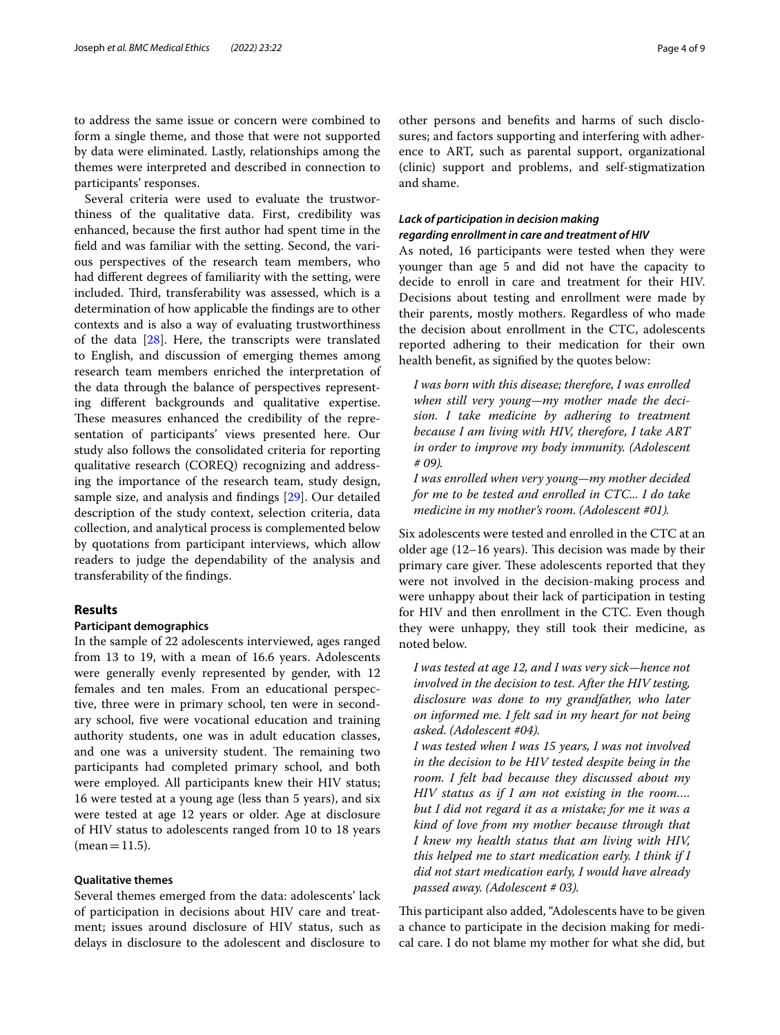to address the same issue or concern were combined to form a single theme, and those that were not supported by data were eliminated. Lastly, relationships among the themes were interpreted and described in connection to participants' responses.

Several criteria were used to evaluate the trustworthiness of the qualitative data. First, credibility was enhanced, because the frst author had spent time in the feld and was familiar with the setting. Second, the various perspectives of the research team members, who had diferent degrees of familiarity with the setting, were included. Third, transferability was assessed, which is a determination of how applicable the fndings are to other contexts and is also a way of evaluating trustworthiness of the data [\[28](#page-8-25)]. Here, the transcripts were translated to English, and discussion of emerging themes among research team members enriched the interpretation of the data through the balance of perspectives representing diferent backgrounds and qualitative expertise. These measures enhanced the credibility of the representation of participants' views presented here. Our study also follows the consolidated criteria for reporting qualitative research (COREQ) recognizing and addressing the importance of the research team, study design, sample size, and analysis and fndings [[29](#page-8-26)]. Our detailed description of the study context, selection criteria, data collection, and analytical process is complemented below by quotations from participant interviews, which allow readers to judge the dependability of the analysis and transferability of the fndings.

### **Results**

## **Participant demographics**

In the sample of 22 adolescents interviewed, ages ranged from 13 to 19, with a mean of 16.6 years. Adolescents were generally evenly represented by gender, with 12 females and ten males. From an educational perspective, three were in primary school, ten were in secondary school, fve were vocational education and training authority students, one was in adult education classes, and one was a university student. The remaining two participants had completed primary school, and both were employed. All participants knew their HIV status; 16 were tested at a young age (less than 5 years), and six were tested at age 12 years or older. Age at disclosure of HIV status to adolescents ranged from 10 to 18 years  $(mean = 11.5)$ .

# **Qualitative themes**

Several themes emerged from the data: adolescents' lack of participation in decisions about HIV care and treatment; issues around disclosure of HIV status, such as delays in disclosure to the adolescent and disclosure to other persons and benefts and harms of such disclosures; and factors supporting and interfering with adherence to ART, such as parental support, organizational (clinic) support and problems, and self-stigmatization and shame.

# *Lack of participation in decision making regarding enrollment in care and treatment of HIV*

As noted, 16 participants were tested when they were younger than age 5 and did not have the capacity to decide to enroll in care and treatment for their HIV. Decisions about testing and enrollment were made by their parents, mostly mothers. Regardless of who made the decision about enrollment in the CTC, adolescents reported adhering to their medication for their own health beneft, as signifed by the quotes below:

*I was born with this disease; therefore, I was enrolled when still very young—my mother made the decision. I take medicine by adhering to treatment because I am living with HIV, therefore, I take ART in order to improve my body immunity. (Adolescent # 09).*

*I was enrolled when very young—my mother decided for me to be tested and enrolled in CTC... I do take medicine in my mother's room. (Adolescent #01).*

Six adolescents were tested and enrolled in the CTC at an older age  $(12-16$  years). This decision was made by their primary care giver. These adolescents reported that they were not involved in the decision-making process and were unhappy about their lack of participation in testing for HIV and then enrollment in the CTC. Even though they were unhappy, they still took their medicine, as noted below.

*I was tested at age 12, and I was very sick—hence not involved in the decision to test. After the HIV testing, disclosure was done to my grandfather, who later on informed me. I felt sad in my heart for not being asked. (Adolescent #04).*

*I was tested when I was 15 years, I was not involved in the decision to be HIV tested despite being in the room. I felt bad because they discussed about my HIV status as if I am not existing in the room…. but I did not regard it as a mistake; for me it was a kind of love from my mother because through that I knew my health status that am living with HIV, this helped me to start medication early. I think if I did not start medication early, I would have already passed away. (Adolescent # 03).*

This participant also added, "Adolescents have to be given a chance to participate in the decision making for medical care. I do not blame my mother for what she did, but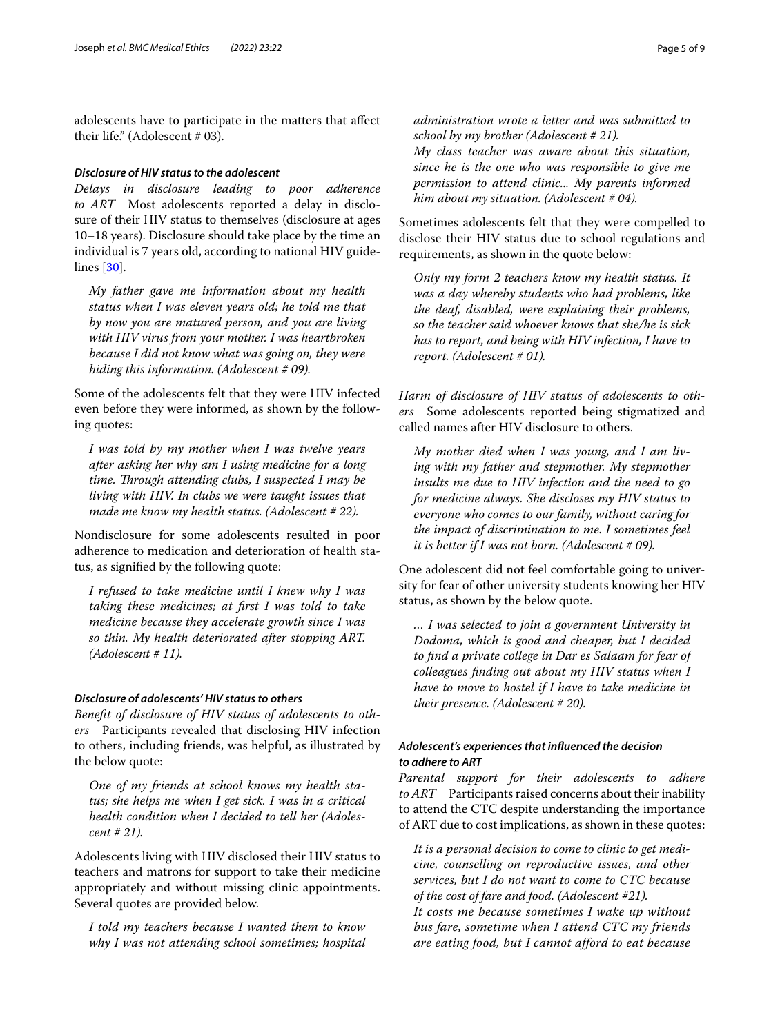adolescents have to participate in the matters that afect their life." (Adolescent # 03).

# *Disclosure of HIV status to the adolescent*

*Delays in disclosure leading to poor adherence to ART* Most adolescents reported a delay in disclosure of their HIV status to themselves (disclosure at ages 10–18 years). Disclosure should take place by the time an individual is 7 years old, according to national HIV guidelines [\[30\]](#page-8-27).

*My father gave me information about my health status when I was eleven years old; he told me that by now you are matured person, and you are living with HIV virus from your mother. I was heartbroken because I did not know what was going on, they were hiding this information. (Adolescent # 09).*

Some of the adolescents felt that they were HIV infected even before they were informed, as shown by the following quotes:

*I was told by my mother when I was twelve years after asking her why am I using medicine for a long time. Through attending clubs, I suspected I may be living with HIV. In clubs we were taught issues that made me know my health status. (Adolescent # 22).*

Nondisclosure for some adolescents resulted in poor adherence to medication and deterioration of health status, as signifed by the following quote:

*I refused to take medicine until I knew why I was taking these medicines; at frst I was told to take medicine because they accelerate growth since I was so thin. My health deteriorated after stopping ART. (Adolescent # 11).*

# *Disclosure of adolescents' HIV status to others*

*Beneft of disclosure of HIV status of adolescents to others* Participants revealed that disclosing HIV infection to others, including friends, was helpful, as illustrated by the below quote:

*One of my friends at school knows my health status; she helps me when I get sick. I was in a critical health condition when I decided to tell her (Adolescent # 21).*

Adolescents living with HIV disclosed their HIV status to teachers and matrons for support to take their medicine appropriately and without missing clinic appointments. Several quotes are provided below.

*I told my teachers because I wanted them to know why I was not attending school sometimes; hospital*  *administration wrote a letter and was submitted to* 

*school by my brother (Adolescent # 21). My class teacher was aware about this situation, since he is the one who was responsible to give me permission to attend clinic... My parents informed him about my situation. (Adolescent # 04).*

Sometimes adolescents felt that they were compelled to disclose their HIV status due to school regulations and requirements, as shown in the quote below:

*Only my form 2 teachers know my health status. It was a day whereby students who had problems, like the deaf, disabled, were explaining their problems, so the teacher said whoever knows that she/he is sick has to report, and being with HIV infection, I have to report. (Adolescent # 01).*

*Harm of disclosure of HIV status of adolescents to others* Some adolescents reported being stigmatized and called names after HIV disclosure to others.

*My mother died when I was young, and I am living with my father and stepmother. My stepmother insults me due to HIV infection and the need to go for medicine always. She discloses my HIV status to everyone who comes to our family, without caring for the impact of discrimination to me. I sometimes feel it is better if I was not born. (Adolescent # 09).*

One adolescent did not feel comfortable going to university for fear of other university students knowing her HIV status, as shown by the below quote.

*… I was selected to join a government University in Dodoma, which is good and cheaper, but I decided to fnd a private college in Dar es Salaam for fear of colleagues fnding out about my HIV status when I have to move to hostel if I have to take medicine in their presence. (Adolescent # 20).*

# *Adolescent's experiences that infuenced the decision to adhere to ART*

*Parental support for their adolescents to adhere to ART* Participants raised concerns about their inability to attend the CTC despite understanding the importance of ART due to cost implications, as shown in these quotes:

*It is a personal decision to come to clinic to get medicine, counselling on reproductive issues, and other services, but I do not want to come to CTC because of the cost of fare and food. (Adolescent #21). It costs me because sometimes I wake up without bus fare, sometime when I attend CTC my friends are eating food, but I cannot afford to eat because*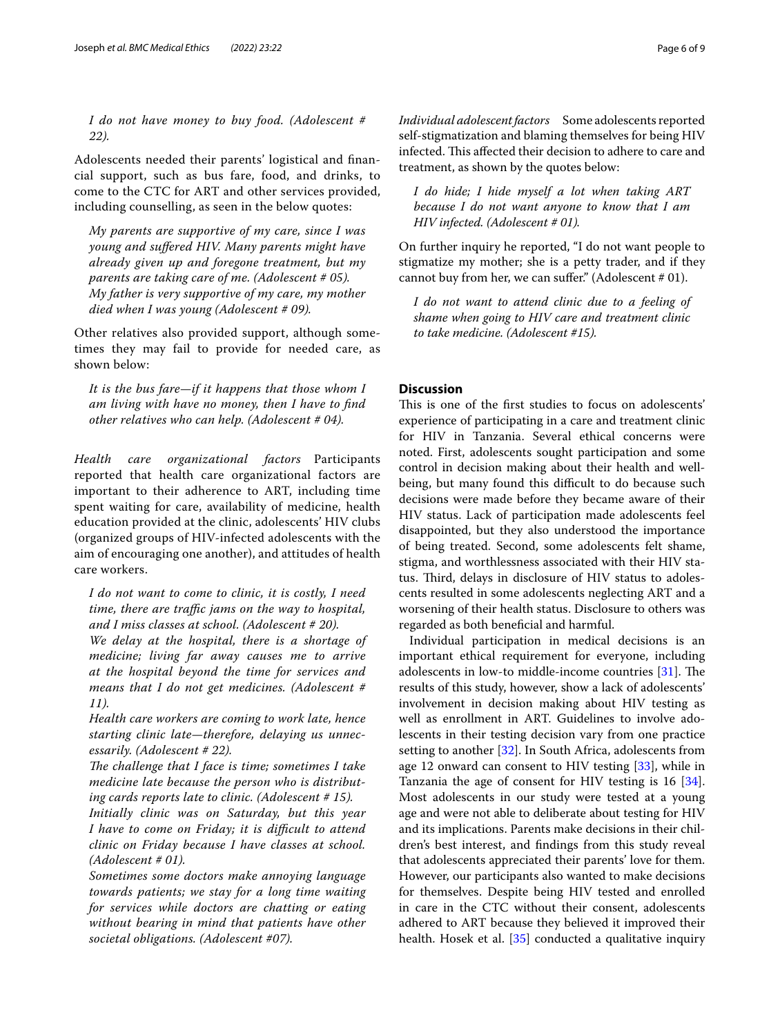*I do not have money to buy food. (Adolescent # 22).*

Adolescents needed their parents' logistical and fnancial support, such as bus fare, food, and drinks, to come to the CTC for ART and other services provided, including counselling, as seen in the below quotes:

*My parents are supportive of my care, since I was young and sufered HIV. Many parents might have already given up and foregone treatment, but my parents are taking care of me. (Adolescent # 05). My father is very supportive of my care, my mother died when I was young (Adolescent # 09).*

Other relatives also provided support, although sometimes they may fail to provide for needed care, as shown below:

*It is the bus fare—if it happens that those whom I am living with have no money, then I have to fnd other relatives who can help. (Adolescent # 04).*

*Health care organizational factors* Participants reported that health care organizational factors are important to their adherence to ART, including time spent waiting for care, availability of medicine, health education provided at the clinic, adolescents' HIV clubs (organized groups of HIV-infected adolescents with the aim of encouraging one another), and attitudes of health care workers.

*I do not want to come to clinic, it is costly, I need time, there are traffic jams on the way to hospital, and I miss classes at school. (Adolescent # 20).*

*We delay at the hospital, there is a shortage of medicine; living far away causes me to arrive at the hospital beyond the time for services and means that I do not get medicines. (Adolescent # 11).*

*Health care workers are coming to work late, hence starting clinic late—therefore, delaying us unnecessarily. (Adolescent # 22).*

*The challenge that I face is time; sometimes I take medicine late because the person who is distributing cards reports late to clinic. (Adolescent # 15).*

*Initially clinic was on Saturday, but this year I have to come on Friday; it is difcult to attend clinic on Friday because I have classes at school. (Adolescent # 01).*

*Sometimes some doctors make annoying language towards patients; we stay for a long time waiting for services while doctors are chatting or eating without bearing in mind that patients have other societal obligations. (Adolescent #07).*

*Individual adolescent factors* Some adolescents reported self-stigmatization and blaming themselves for being HIV infected. This affected their decision to adhere to care and treatment, as shown by the quotes below:

*I do hide; I hide myself a lot when taking ART because I do not want anyone to know that I am HIV infected. (Adolescent # 01).*

On further inquiry he reported, "I do not want people to stigmatize my mother; she is a petty trader, and if they cannot buy from her, we can suffer." (Adolescent # 01).

*I do not want to attend clinic due to a feeling of shame when going to HIV care and treatment clinic to take medicine. (Adolescent #15).*

# **Discussion**

This is one of the first studies to focus on adolescents' experience of participating in a care and treatment clinic for HIV in Tanzania. Several ethical concerns were noted. First, adolescents sought participation and some control in decision making about their health and wellbeing, but many found this difficult to do because such decisions were made before they became aware of their HIV status. Lack of participation made adolescents feel disappointed, but they also understood the importance of being treated. Second, some adolescents felt shame, stigma, and worthlessness associated with their HIV status. Third, delays in disclosure of HIV status to adolescents resulted in some adolescents neglecting ART and a worsening of their health status. Disclosure to others was regarded as both benefcial and harmful.

Individual participation in medical decisions is an important ethical requirement for everyone, including adolescents in low-to middle-income countries  $[31]$ . The results of this study, however, show a lack of adolescents' involvement in decision making about HIV testing as well as enrollment in ART. Guidelines to involve adolescents in their testing decision vary from one practice setting to another [\[32\]](#page-8-29). In South Africa, adolescents from age 12 onward can consent to HIV testing [\[33\]](#page-8-30), while in Tanzania the age of consent for HIV testing is 16 [\[34](#page-8-31)]. Most adolescents in our study were tested at a young age and were not able to deliberate about testing for HIV and its implications. Parents make decisions in their children's best interest, and fndings from this study reveal that adolescents appreciated their parents' love for them. However, our participants also wanted to make decisions for themselves. Despite being HIV tested and enrolled in care in the CTC without their consent, adolescents adhered to ART because they believed it improved their health. Hosek et al. [[35\]](#page-8-32) conducted a qualitative inquiry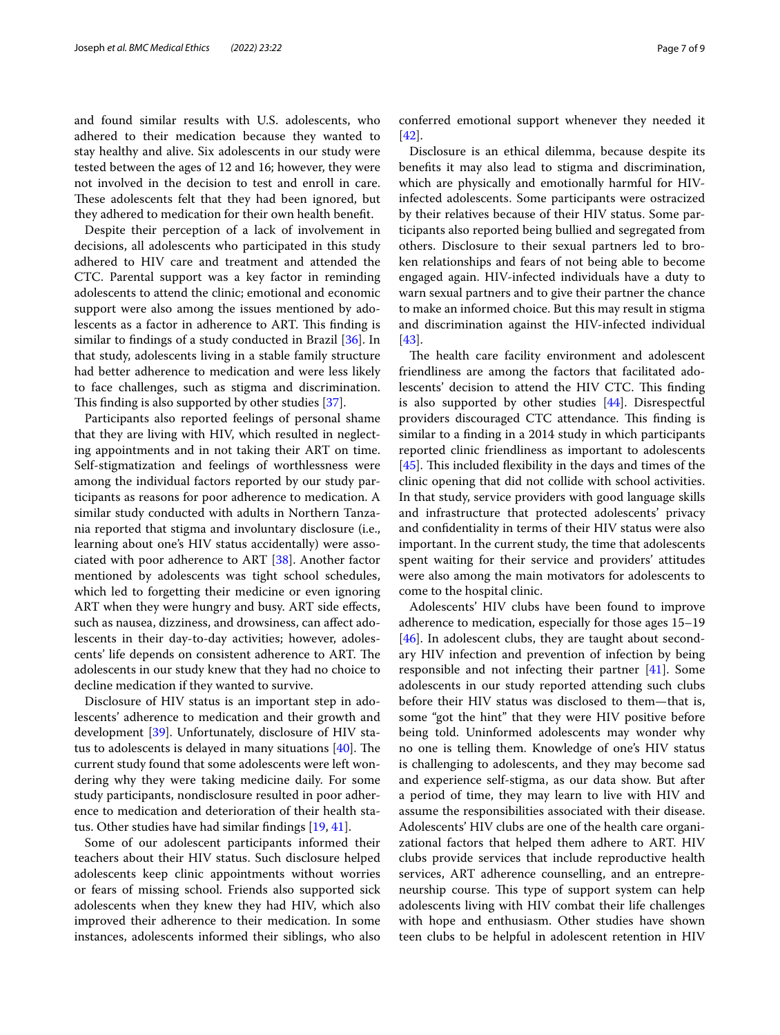and found similar results with U.S. adolescents, who adhered to their medication because they wanted to stay healthy and alive. Six adolescents in our study were tested between the ages of 12 and 16; however, they were not involved in the decision to test and enroll in care. These adolescents felt that they had been ignored, but they adhered to medication for their own health beneft.

Despite their perception of a lack of involvement in decisions, all adolescents who participated in this study adhered to HIV care and treatment and attended the CTC. Parental support was a key factor in reminding adolescents to attend the clinic; emotional and economic support were also among the issues mentioned by adolescents as a factor in adherence to ART. This finding is similar to fndings of a study conducted in Brazil [[36\]](#page-8-33). In that study, adolescents living in a stable family structure had better adherence to medication and were less likely to face challenges, such as stigma and discrimination. This finding is also supported by other studies [\[37](#page-8-34)].

Participants also reported feelings of personal shame that they are living with HIV, which resulted in neglecting appointments and in not taking their ART on time. Self-stigmatization and feelings of worthlessness were among the individual factors reported by our study participants as reasons for poor adherence to medication. A similar study conducted with adults in Northern Tanzania reported that stigma and involuntary disclosure (i.e., learning about one's HIV status accidentally) were associated with poor adherence to ART [[38](#page-8-35)]. Another factor mentioned by adolescents was tight school schedules, which led to forgetting their medicine or even ignoring ART when they were hungry and busy. ART side effects, such as nausea, dizziness, and drowsiness, can afect adolescents in their day-to-day activities; however, adolescents' life depends on consistent adherence to ART. The adolescents in our study knew that they had no choice to decline medication if they wanted to survive.

Disclosure of HIV status is an important step in adolescents' adherence to medication and their growth and development [\[39](#page-8-36)]. Unfortunately, disclosure of HIV status to adolescents is delayed in many situations  $[40]$  $[40]$ . The current study found that some adolescents were left wondering why they were taking medicine daily. For some study participants, nondisclosure resulted in poor adherence to medication and deterioration of their health status. Other studies have had similar fndings [[19,](#page-8-18) [41\]](#page-8-38).

Some of our adolescent participants informed their teachers about their HIV status. Such disclosure helped adolescents keep clinic appointments without worries or fears of missing school. Friends also supported sick adolescents when they knew they had HIV, which also improved their adherence to their medication. In some instances, adolescents informed their siblings, who also conferred emotional support whenever they needed it [[42\]](#page-8-39).

Disclosure is an ethical dilemma, because despite its benefts it may also lead to stigma and discrimination, which are physically and emotionally harmful for HIVinfected adolescents. Some participants were ostracized by their relatives because of their HIV status. Some participants also reported being bullied and segregated from others. Disclosure to their sexual partners led to broken relationships and fears of not being able to become engaged again. HIV-infected individuals have a duty to warn sexual partners and to give their partner the chance to make an informed choice. But this may result in stigma and discrimination against the HIV-infected individual [[43\]](#page-8-40).

The health care facility environment and adolescent friendliness are among the factors that facilitated adolescents' decision to attend the HIV CTC. This finding is also supported by other studies [[44\]](#page-8-41). Disrespectful providers discouraged CTC attendance. This finding is similar to a fnding in a 2014 study in which participants reported clinic friendliness as important to adolescents [ $45$ ]. This included flexibility in the days and times of the clinic opening that did not collide with school activities. In that study, service providers with good language skills and infrastructure that protected adolescents' privacy and confdentiality in terms of their HIV status were also important. In the current study, the time that adolescents spent waiting for their service and providers' attitudes were also among the main motivators for adolescents to come to the hospital clinic.

Adolescents' HIV clubs have been found to improve adherence to medication, especially for those ages 15–19 [[46\]](#page-8-43). In adolescent clubs, they are taught about secondary HIV infection and prevention of infection by being responsible and not infecting their partner [[41\]](#page-8-38). Some adolescents in our study reported attending such clubs before their HIV status was disclosed to them—that is, some "got the hint" that they were HIV positive before being told. Uninformed adolescents may wonder why no one is telling them. Knowledge of one's HIV status is challenging to adolescents, and they may become sad and experience self-stigma, as our data show. But after a period of time, they may learn to live with HIV and assume the responsibilities associated with their disease. Adolescents' HIV clubs are one of the health care organizational factors that helped them adhere to ART. HIV clubs provide services that include reproductive health services, ART adherence counselling, and an entrepreneurship course. This type of support system can help adolescents living with HIV combat their life challenges with hope and enthusiasm. Other studies have shown teen clubs to be helpful in adolescent retention in HIV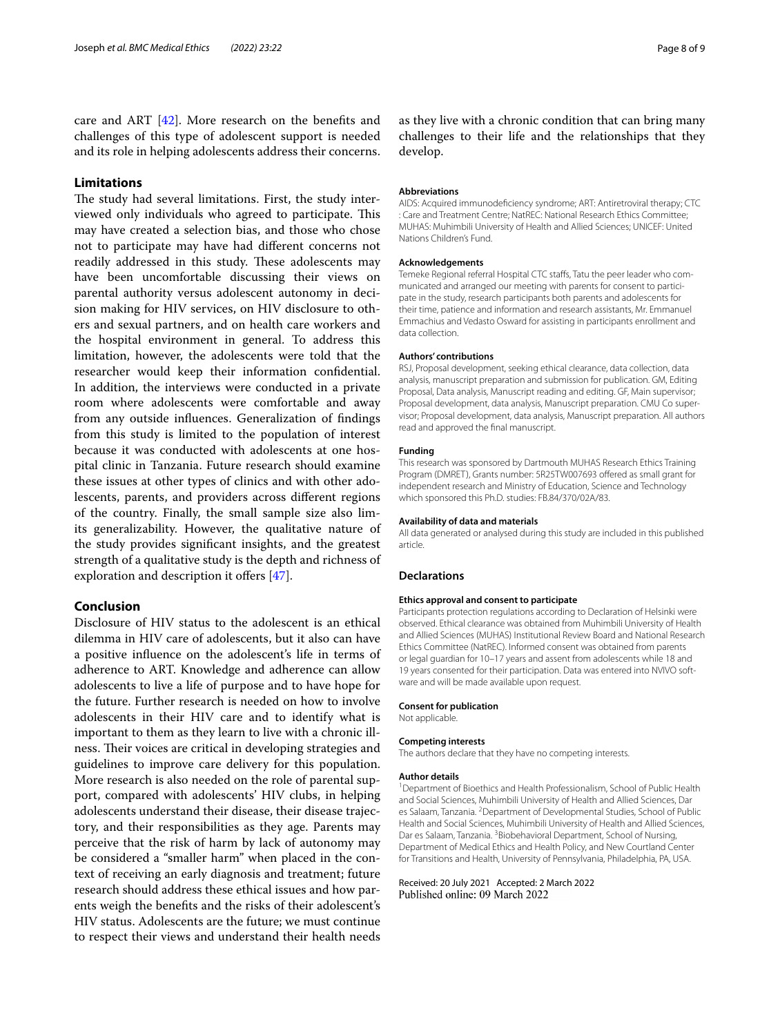care and ART [\[42](#page-8-39)]. More research on the benefts and challenges of this type of adolescent support is needed and its role in helping adolescents address their concerns.

# **Limitations**

The study had several limitations. First, the study interviewed only individuals who agreed to participate. This may have created a selection bias, and those who chose not to participate may have had diferent concerns not readily addressed in this study. These adolescents may have been uncomfortable discussing their views on parental authority versus adolescent autonomy in decision making for HIV services, on HIV disclosure to others and sexual partners, and on health care workers and the hospital environment in general. To address this limitation, however, the adolescents were told that the researcher would keep their information confdential. In addition, the interviews were conducted in a private room where adolescents were comfortable and away from any outside infuences. Generalization of fndings from this study is limited to the population of interest because it was conducted with adolescents at one hospital clinic in Tanzania. Future research should examine these issues at other types of clinics and with other adolescents, parents, and providers across diferent regions of the country. Finally, the small sample size also limits generalizability. However, the qualitative nature of the study provides signifcant insights, and the greatest strength of a qualitative study is the depth and richness of exploration and description it offers [\[47](#page-8-44)].

# **Conclusion**

Disclosure of HIV status to the adolescent is an ethical dilemma in HIV care of adolescents, but it also can have a positive infuence on the adolescent's life in terms of adherence to ART. Knowledge and adherence can allow adolescents to live a life of purpose and to have hope for the future. Further research is needed on how to involve adolescents in their HIV care and to identify what is important to them as they learn to live with a chronic illness. Their voices are critical in developing strategies and guidelines to improve care delivery for this population. More research is also needed on the role of parental support, compared with adolescents' HIV clubs, in helping adolescents understand their disease, their disease trajectory, and their responsibilities as they age. Parents may perceive that the risk of harm by lack of autonomy may be considered a "smaller harm" when placed in the context of receiving an early diagnosis and treatment; future research should address these ethical issues and how parents weigh the benefts and the risks of their adolescent's HIV status. Adolescents are the future; we must continue to respect their views and understand their health needs as they live with a chronic condition that can bring many challenges to their life and the relationships that they develop.

#### **Abbreviations**

AIDS: Acquired immunodefciency syndrome; ART: Antiretroviral therapy; CTC : Care and Treatment Centre; NatREC: National Research Ethics Committee; MUHAS: Muhimbili University of Health and Allied Sciences; UNICEF: United Nations Children's Fund.

### **Acknowledgements**

Temeke Regional referral Hospital CTC stafs, Tatu the peer leader who communicated and arranged our meeting with parents for consent to participate in the study, research participants both parents and adolescents for their time, patience and information and research assistants, Mr. Emmanuel Emmachius and Vedasto Osward for assisting in participants enrollment and data collection.

#### **Authors' contributions**

RSJ, Proposal development, seeking ethical clearance, data collection, data analysis, manuscript preparation and submission for publication. GM, Editing Proposal, Data analysis, Manuscript reading and editing. GF, Main supervisor; Proposal development, data analysis, Manuscript preparation. CMU Co supervisor; Proposal development, data analysis, Manuscript preparation. All authors read and approved the fnal manuscript.

#### **Funding**

This research was sponsored by Dartmouth MUHAS Research Ethics Training Program (DMRET), Grants number: 5R25TW007693 offered as small grant for independent research and Ministry of Education, Science and Technology which sponsored this Ph.D. studies: FB.84/370/02A/83.

#### **Availability of data and materials**

All data generated or analysed during this study are included in this published article.

#### **Declarations**

#### **Ethics approval and consent to participate**

Participants protection regulations according to Declaration of Helsinki were observed. Ethical clearance was obtained from Muhimbili University of Health and Allied Sciences (MUHAS) Institutional Review Board and National Research Ethics Committee (NatREC). Informed consent was obtained from parents or legal guardian for 10–17 years and assent from adolescents while 18 and 19 years consented for their participation. Data was entered into NVIVO software and will be made available upon request.

#### **Consent for publication**

Not applicable.

#### **Competing interests**

The authors declare that they have no competing interests.

#### **Author details**

<sup>1</sup> Department of Bioethics and Health Professionalism, School of Public Health and Social Sciences, Muhimbili University of Health and Allied Sciences, Dar es Salaam, Tanzania. <sup>2</sup> Department of Developmental Studies, School of Public Health and Social Sciences, Muhimbili University of Health and Allied Sciences, Dar es Salaam, Tanzania. <sup>3</sup> Biobehavioral Department, School of Nursing, Department of Medical Ethics and Health Policy, and New Courtland Center for Transitions and Health, University of Pennsylvania, Philadelphia, PA, USA.

Received: 20 July 2021 Accepted: 2 March 2022<br>Published online: 09 March 2022